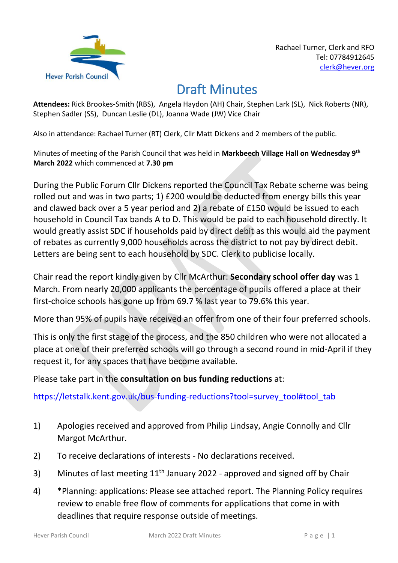

## Draft Minutes

**Attendees:** Rick Brookes-Smith (RBS), Angela Haydon (AH) Chair, Stephen Lark (SL), Nick Roberts (NR), Stephen Sadler (SS), Duncan Leslie (DL), Joanna Wade (JW) Vice Chair

Also in attendance: Rachael Turner (RT) Clerk, Cllr Matt Dickens and 2 members of the public.

Minutes of meeting of the Parish Council that was held in **Markbeech Village Hall on Wednesday 9th March 2022** which commenced at **7.30 pm**

During the Public Forum Cllr Dickens reported the Council Tax Rebate scheme was being rolled out and was in two parts; 1) £200 would be deducted from energy bills this year and clawed back over a 5 year period and 2) a rebate of £150 would be issued to each household in Council Tax bands A to D. This would be paid to each household directly. It would greatly assist SDC if households paid by direct debit as this would aid the payment of rebates as currently 9,000 households across the district to not pay by direct debit. Letters are being sent to each household by SDC. Clerk to publicise locally.

Chair read the report kindly given by Cllr McArthur: **Secondary school offer day** was 1 March. From nearly 20,000 applicants the percentage of pupils offered a place at their first-choice schools has gone up from 69.7 % last year to 79.6% this year.

More than 95% of pupils have received an offer from one of their four preferred schools.

This is only the first stage of the process, and the 850 children who were not allocated a place at one of their preferred schools will go through a second round in mid-April if they request it, for any spaces that have become available.

Please take part in the **consultation on bus funding reductions** at:

[https://letstalk.kent.gov.uk/bus-funding-reductions?tool=survey\\_tool#tool\\_tab](https://letstalk.kent.gov.uk/bus-funding-reductions?tool=survey_tool#tool_tab)

- 1) Apologies received and approved from Philip Lindsay, Angie Connolly and Cllr Margot McArthur.
- 2) To receive declarations of interests No declarations received.
- 3) Minutes of last meeting  $11<sup>th</sup>$  January 2022 approved and signed off by Chair
- 4) \*Planning: applications: Please see attached report. The Planning Policy requires review to enable free flow of comments for applications that come in with deadlines that require response outside of meetings.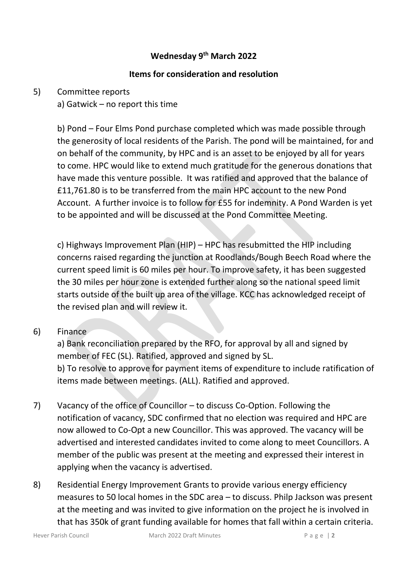#### **Wednesday 9th March 2022**

#### **Items for consideration and resolution**

#### 5) Committee reports

a) Gatwick – no report this time

b) Pond – Four Elms Pond purchase completed which was made possible through the generosity of local residents of the Parish. The pond will be maintained, for and on behalf of the community, by HPC and is an asset to be enjoyed by all for years to come. HPC would like to extend much gratitude for the generous donations that have made this venture possible. It was ratified and approved that the balance of £11,761.80 is to be transferred from the main HPC account to the new Pond Account. A further invoice is to follow for £55 for indemnity. A Pond Warden is yet to be appointed and will be discussed at the Pond Committee Meeting.

c) Highways Improvement Plan (HIP) – HPC has resubmitted the HIP including concerns raised regarding the junction at Roodlands/Bough Beech Road where the current speed limit is 60 miles per hour. To improve safety, it has been suggested the 30 miles per hour zone is extended further along so the national speed limit starts outside of the built up area of the village. KCC has acknowledged receipt of the revised plan and will review it.

#### 6) Finance

a) Bank reconciliation prepared by the RFO, for approval by all and signed by member of FEC (SL). Ratified, approved and signed by SL. b) To resolve to approve for payment items of expenditure to include ratification of items made between meetings. (ALL). Ratified and approved.

- 7) Vacancy of the office of Councillor to discuss Co-Option. Following the notification of vacancy, SDC confirmed that no election was required and HPC are now allowed to Co-Opt a new Councillor. This was approved. The vacancy will be advertised and interested candidates invited to come along to meet Councillors. A member of the public was present at the meeting and expressed their interest in applying when the vacancy is advertised.
- 8) Residential Energy Improvement Grants to provide various energy efficiency measures to 50 local homes in the SDC area – to discuss. Philp Jackson was present at the meeting and was invited to give information on the project he is involved in that has 350k of grant funding available for homes that fall within a certain criteria.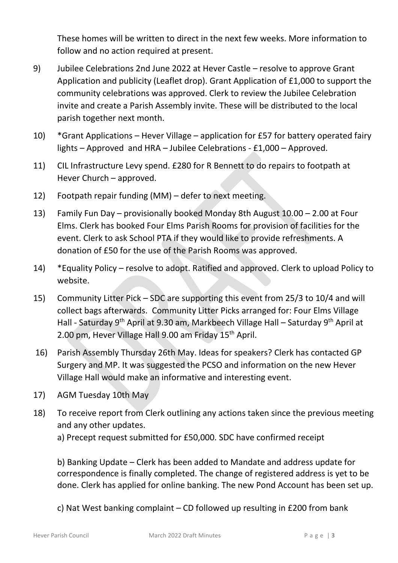These homes will be written to direct in the next few weeks. More information to follow and no action required at present.

- 9) Jubilee Celebrations 2nd June 2022 at Hever Castle resolve to approve Grant Application and publicity (Leaflet drop). Grant Application of £1,000 to support the community celebrations was approved. Clerk to review the Jubilee Celebration invite and create a Parish Assembly invite. These will be distributed to the local parish together next month.
- 10) \*Grant Applications Hever Village application for £57 for battery operated fairy lights – Approved and HRA – Jubilee Celebrations - £1,000 – Approved.
- 11) CIL Infrastructure Levy spend. £280 for R Bennett to do repairs to footpath at Hever Church – approved.
- 12) Footpath repair funding (MM) defer to next meeting.
- 13) Family Fun Day provisionally booked Monday 8th August 10.00 2.00 at Four Elms. Clerk has booked Four Elms Parish Rooms for provision of facilities for the event. Clerk to ask School PTA if they would like to provide refreshments. A donation of £50 for the use of the Parish Rooms was approved.
- 14) \*Equality Policy resolve to adopt. Ratified and approved. Clerk to upload Policy to website.
- 15) Community Litter Pick SDC are supporting this event from 25/3 to 10/4 and will collect bags afterwards. Community Litter Picks arranged for: Four Elms Village Hall - Saturday 9<sup>th</sup> April at 9.30 am, Markbeech Village Hall – Saturday 9<sup>th</sup> April at 2.00 pm, Hever Village Hall 9.00 am Friday 15<sup>th</sup> April.
- 16) Parish Assembly Thursday 26th May. Ideas for speakers? Clerk has contacted GP Surgery and MP. It was suggested the PCSO and information on the new Hever Village Hall would make an informative and interesting event.
- 17) AGM Tuesday 10th May
- 18) To receive report from Clerk outlining any actions taken since the previous meeting and any other updates.

a) Precept request submitted for £50,000. SDC have confirmed receipt

b) Banking Update – Clerk has been added to Mandate and address update for correspondence is finally completed. The change of registered address is yet to be done. Clerk has applied for online banking. The new Pond Account has been set up.

c) Nat West banking complaint – CD followed up resulting in £200 from bank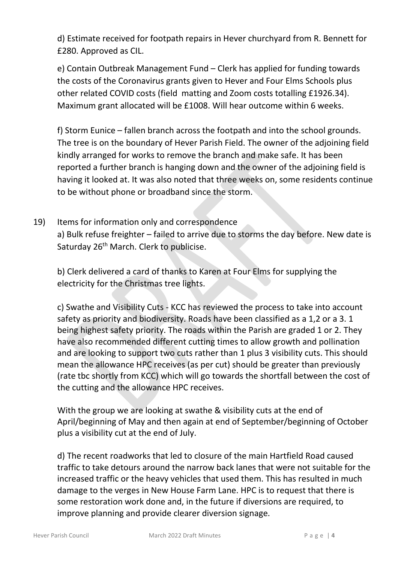d) Estimate received for footpath repairs in Hever churchyard from R. Bennett for £280. Approved as CIL.

e) Contain Outbreak Management Fund – Clerk has applied for funding towards the costs of the Coronavirus grants given to Hever and Four Elms Schools plus other related COVID costs (field matting and Zoom costs totalling £1926.34). Maximum grant allocated will be £1008. Will hear outcome within 6 weeks.

f) Storm Eunice – fallen branch across the footpath and into the school grounds. The tree is on the boundary of Hever Parish Field. The owner of the adjoining field kindly arranged for works to remove the branch and make safe. It has been reported a further branch is hanging down and the owner of the adjoining field is having it looked at. It was also noted that three weeks on, some residents continue to be without phone or broadband since the storm.

19) Items for information only and correspondence a) Bulk refuse freighter – failed to arrive due to storms the day before. New date is Saturday 26<sup>th</sup> March. Clerk to publicise.

b) Clerk delivered a card of thanks to Karen at Four Elms for supplying the electricity for the Christmas tree lights.

c) Swathe and Visibility Cuts - KCC has reviewed the process to take into account safety as priority and biodiversity. Roads have been classified as a 1,2 or a 3. 1 being highest safety priority. The roads within the Parish are graded 1 or 2. They have also recommended different cutting times to allow growth and pollination and are looking to support two cuts rather than 1 plus 3 visibility cuts. This should mean the allowance HPC receives (as per cut) should be greater than previously (rate tbc shortly from KCC) which will go towards the shortfall between the cost of the cutting and the allowance HPC receives.

With the group we are looking at swathe & visibility cuts at the end of April/beginning of May and then again at end of September/beginning of October plus a visibility cut at the end of July.

d) The recent roadworks that led to closure of the main Hartfield Road caused traffic to take detours around the narrow back lanes that were not suitable for the increased traffic or the heavy vehicles that used them. This has resulted in much damage to the verges in New House Farm Lane. HPC is to request that there is some restoration work done and, in the future if diversions are required, to improve planning and provide clearer diversion signage.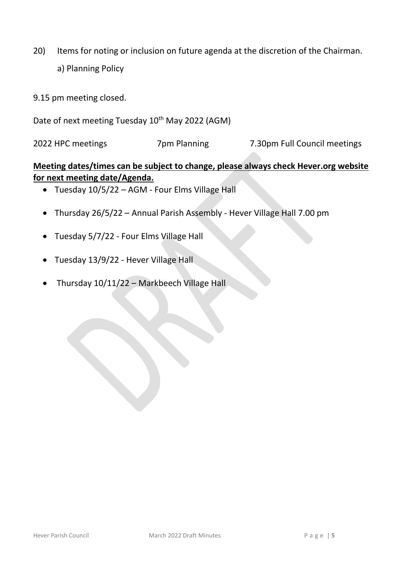- 20) Items for noting or inclusion on future agenda at the discretion of the Chairman.
	- a) Planning Policy
- 9.15 pm meeting closed.
- Date of next meeting Tuesday 10<sup>th</sup> May 2022 (AGM)

2022 HPC meetings 7pm Planning 7.30pm Full Council meetings

### **Meeting dates/times can be subject to change, please always check Hever.org website for next meeting date/Agenda.**

- Tuesday 10/5/22 AGM Four Elms Village Hall
- Thursday 26/5/22 Annual Parish Assembly Hever Village Hall 7.00 pm
- Tuesday 5/7/22 Four Elms Village Hall
- Tuesday 13/9/22 Hever Village Hall
- Thursday 10/11/22 Markbeech Village Hall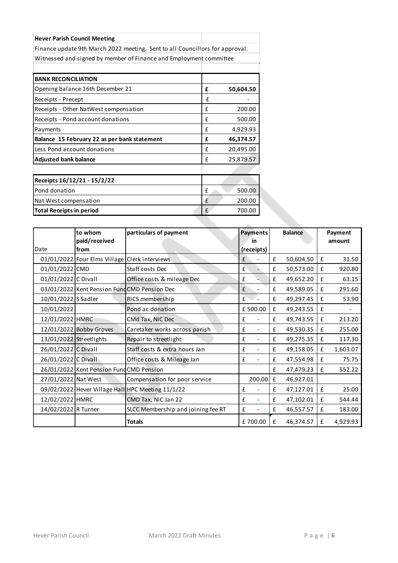| <b>Hever Parish Council Meeting</b>                                          |              |           |
|------------------------------------------------------------------------------|--------------|-----------|
| Finance update 9th March 2022 meeting. Sent to all Councillors for approval. |              |           |
| Witnessed and signed by member of Finance and Employment committee           |              |           |
|                                                                              |              |           |
| <b>BANK RECONCILIATION</b>                                                   |              |           |
| Opening balance 16th December 21                                             | £            | 50,604.50 |
| Receipts - Precept                                                           | f            |           |
| Receipts - Other NatWest compensation                                        | f            | 200.00    |
| Receipts - Pond account donations                                            | f            | 500.00    |
| Payments                                                                     | £            | 4,929.93  |
| Balance 15 February 22 as per bank statement                                 | £            | 46,374.57 |
| Less Pond account donations                                                  | f            | 20,495.00 |
| <b>Adjusted bank balance</b>                                                 | $\mathbf{f}$ | 25,879.57 |
|                                                                              |              |           |
| Receipts 16/12/21 - 15/2/22                                                  |              |           |
| Pond donation                                                                | f            | 500.00    |
| Nat West compensation                                                        | $\mathbf{f}$ | 200.00    |
| <b>Total Receipts in period</b>                                              | $\mathbf{f}$ | 700.00    |

|                         | to whom                                       | particulars of payment                            | <b>Payments</b>               |              | <b>Balance</b> |   | Payment  |
|-------------------------|-----------------------------------------------|---------------------------------------------------|-------------------------------|--------------|----------------|---|----------|
|                         | paid/received                                 |                                                   | in                            |              |                |   | amount   |
| Date                    | from                                          |                                                   | (receipts)                    |              |                |   |          |
|                         | 01/01/2022 Four Elms Village Clerk interviews |                                                   | £                             | £            | 50,604.50      | £ | 31.50    |
| 01/01/2022 CMD          |                                               | Staff costs Dec                                   | £                             | £            | 50,573.00      | £ | 920.80   |
| 01/01/2022 C Divall     |                                               | Office costs & mileage Dec                        | £                             | £            | 49,652.20      | £ | 63.15    |
|                         |                                               | 03/01/2022 Kent Pension Fund CMD Pension Dec      | £                             | £            | 49,589.05      | £ | 291.60   |
| 10/01/2022 S Sadler     |                                               | RICS membership                                   | f                             | £            | 49,297.45      | £ | 53.90    |
| 10/01/2022              |                                               | Pond ac donation                                  | £500.00                       | £            | 49,243.55      | £ |          |
| 12/01/2022 HMRC         |                                               | CMd Tax, NIC Dec                                  | £                             | $\mathbf{f}$ | 49,743.55      | £ | 213.20   |
|                         | 12/01/2022 Bobby Groves                       | Caretaker works across parish                     | £                             | £            | 49,530.35      | £ | 255.00   |
| 13/01/2022 Streetlights |                                               | Repair to streetlight                             | £<br>$\frac{1}{2}$            | £            | 49,275.35      | £ | 117.30   |
| 26/01/2022 C Divall     |                                               | Staff costs & extra hours Jan                     | £                             | £            | 49,158.05      | £ | 1,603.07 |
| 26/01/2022 C Divall     |                                               | Office costs & Mileage Jan                        | £                             | £            | 47,554.98      | £ | 75.75    |
|                         | 26/01/2022 Kent Pension Fund CMD Pension      |                                                   |                               | $\mathbf{f}$ | 47,479.23      | £ | 552.22   |
| 27/01/2022 Nat West     |                                               | Compensation for poor service                     | 200.00                        | £            | 46,927.01      |   |          |
|                         |                                               | 09/02/2022 Hever Village Hall HPC Meeting 11/1/22 | £<br>$\overline{\phantom{a}}$ | £            | 47,127.01      | £ | 25.00    |
| 12/02/2022 HMRC         |                                               | CMD Tax, NIC Jan 22                               | £                             | £            | 47,102.01      | £ | 544.44   |
| 14/02/2022 R Turner     |                                               | SLCC Membership and joining fee RT                | £                             | £            | 46,557.57      | £ | 183.00   |
|                         |                                               | <b>Totals</b>                                     | £700.00                       | £            | 46,374.57      | £ | 4,929.93 |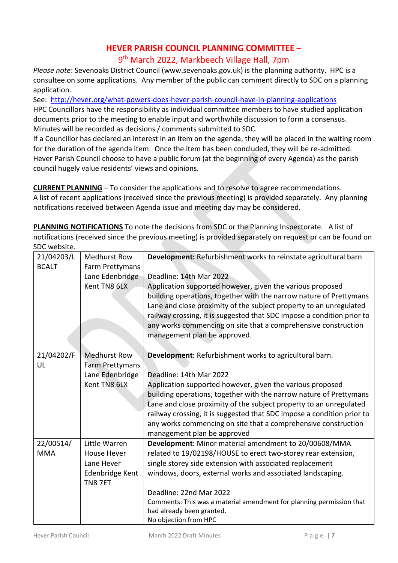# **HEVER PARISH COUNCIL PLANNING COMMITTEE** –

9<sup>th</sup> March 2022, Markbeech Village Hall, 7pm

*Please note*: Sevenoaks District Council (www.sevenoaks.gov.uk) is the planning authority. HPC is a consultee on some applications. Any member of the public can comment directly to SDC on a planning application.

See:<http://hever.org/what-powers-does-hever-parish-council-have-in-planning-applications> HPC Councillors have the responsibility as individual committee members to have studied application documents prior to the meeting to enable input and worthwhile discussion to form a consensus.

Minutes will be recorded as decisions / comments submitted to SDC.

If a Councillor has declared an interest in an item on the agenda, they will be placed in the waiting room for the duration of the agenda item. Once the item has been concluded, they will be re-admitted. Hever Parish Council choose to have a public forum (at the beginning of every Agenda) as the parish council hugely value residents' views and opinions.

**CURRENT PLANNING** – To consider the applications and to resolve to agree recommendations. A list of recent applications (received since the previous meeting) is provided separately. Any planning notifications received between Agenda issue and meeting day may be considered.

**PLANNING NOTIFICATIONS** To note the decisions from SDC or the Planning Inspectorate. A list of notifications (received since the previous meeting) is provided separately on request or can be found on SDC website.

| JUL WLUJILL. |                     |                                                                        |
|--------------|---------------------|------------------------------------------------------------------------|
| 21/04203/L   | <b>Medhurst Row</b> | Development: Refurbishment works to reinstate agricultural barn        |
| <b>BCALT</b> | Farm Prettymans     |                                                                        |
|              | Lane Edenbridge     | Deadline: 14th Mar 2022                                                |
|              | Kent TN8 6LX        | Application supported however, given the various proposed              |
|              |                     | building operations, together with the narrow nature of Prettymans     |
|              |                     | Lane and close proximity of the subject property to an unregulated     |
|              |                     | railway crossing, it is suggested that SDC impose a condition prior to |
|              |                     | any works commencing on site that a comprehensive construction         |
|              |                     | management plan be approved.                                           |
|              |                     |                                                                        |
| 21/04202/F   | <b>Medhurst Row</b> | Development: Refurbishment works to agricultural barn.                 |
| UL           | Farm Prettymans     |                                                                        |
|              | Lane Edenbridge     | Deadline: 14th Mar 2022                                                |
|              | Kent TN8 6LX        | Application supported however, given the various proposed              |
|              |                     | building operations, together with the narrow nature of Prettymans     |
|              |                     | Lane and close proximity of the subject property to an unregulated     |
|              |                     | railway crossing, it is suggested that SDC impose a condition prior to |
|              |                     | any works commencing on site that a comprehensive construction         |
|              |                     | management plan be approved                                            |
| 22/00514/    | Little Warren       | Development: Minor material amendment to 20/00608/MMA                  |
| <b>MMA</b>   | <b>House Hever</b>  | related to 19/02198/HOUSE to erect two-storey rear extension,          |
|              | Lane Hever          | single storey side extension with associated replacement               |
|              | Edenbridge Kent     | windows, doors, external works and associated landscaping.             |
|              | TN87ET              |                                                                        |
|              |                     | Deadline: 22nd Mar 2022                                                |
|              |                     | Comments: This was a material amendment for planning permission that   |
|              |                     | had already been granted.                                              |
|              |                     | No objection from HPC                                                  |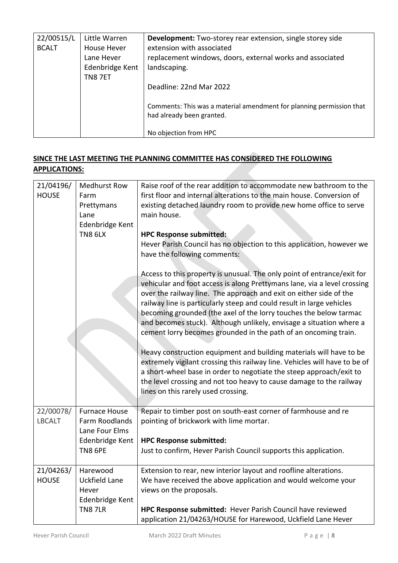| 22/00515/L   | Little Warren   | <b>Development:</b> Two-storey rear extension, single storey side                                 |
|--------------|-----------------|---------------------------------------------------------------------------------------------------|
| <b>BCALT</b> | House Hever     | extension with associated                                                                         |
|              | Lane Hever      | replacement windows, doors, external works and associated                                         |
|              | Edenbridge Kent | landscaping.                                                                                      |
|              | TN87ET          | Deadline: 22nd Mar 2022                                                                           |
|              |                 | Comments: This was a material amendment for planning permission that<br>had already been granted. |
|              |                 | No objection from HPC                                                                             |

#### **SINCE THE LAST MEETING THE PLANNING COMMITTEE HAS CONSIDERED THE FOLLOWING APPLICATIONS:**

| 21/04196/<br><b>HOUSE</b>  | <b>Medhurst Row</b><br>Farm<br>Prettymans<br>Lane<br>Edenbridge Kent<br>TN8 6LX | Raise roof of the rear addition to accommodate new bathroom to the<br>first floor and internal alterations to the main house. Conversion of<br>existing detached laundry room to provide new home office to serve<br>main house.<br><b>HPC Response submitted:</b><br>Hever Parish Council has no objection to this application, however we<br>have the following comments:<br>Access to this property is unusual. The only point of entrance/exit for |
|----------------------------|---------------------------------------------------------------------------------|--------------------------------------------------------------------------------------------------------------------------------------------------------------------------------------------------------------------------------------------------------------------------------------------------------------------------------------------------------------------------------------------------------------------------------------------------------|
|                            |                                                                                 | vehicular and foot access is along Prettymans lane, via a level crossing<br>over the railway line. The approach and exit on either side of the<br>railway line is particularly steep and could result in large vehicles<br>becoming grounded (the axel of the lorry touches the below tarmac<br>and becomes stuck). Although unlikely, envisage a situation where a<br>cement lorry becomes grounded in the path of an oncoming train.                 |
|                            |                                                                                 | Heavy construction equipment and building materials will have to be<br>extremely vigilant crossing this railway line. Vehicles will have to be of<br>a short-wheel base in order to negotiate the steep approach/exit to<br>the level crossing and not too heavy to cause damage to the railway<br>lines on this rarely used crossing.                                                                                                                 |
| 22/00078/<br><b>LBCALT</b> | <b>Furnace House</b><br>Farm Roodlands<br>Lane Four Elms<br>Edenbridge Kent     | Repair to timber post on south-east corner of farmhouse and re<br>pointing of brickwork with lime mortar.<br><b>HPC Response submitted:</b>                                                                                                                                                                                                                                                                                                            |
|                            | TN8 6PE                                                                         | Just to confirm, Hever Parish Council supports this application.                                                                                                                                                                                                                                                                                                                                                                                       |
| 21/04263/<br><b>HOUSE</b>  | Harewood<br>Uckfield Lane<br>Hever<br>Edenbridge Kent                           | Extension to rear, new interior layout and roofline alterations.<br>We have received the above application and would welcome your<br>views on the proposals.                                                                                                                                                                                                                                                                                           |
|                            | <b>TN8 7LR</b>                                                                  | HPC Response submitted: Hever Parish Council have reviewed<br>application 21/04263/HOUSE for Harewood, Uckfield Lane Hever                                                                                                                                                                                                                                                                                                                             |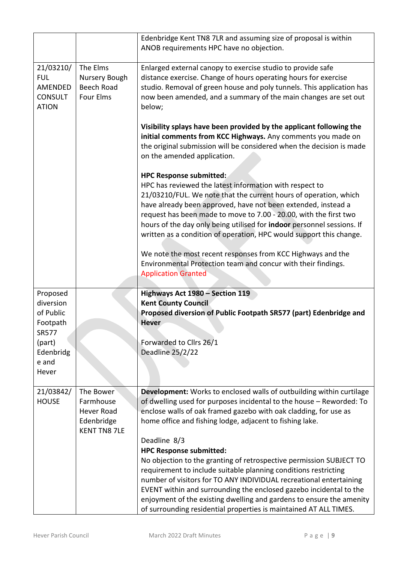|                       |                                    | Edenbridge Kent TN8 7LR and assuming size of proposal is within<br>ANOB requirements HPC have no objection.                                                                                                                                |
|-----------------------|------------------------------------|--------------------------------------------------------------------------------------------------------------------------------------------------------------------------------------------------------------------------------------------|
| 21/03210/             | The Elms                           | Enlarged external canopy to exercise studio to provide safe                                                                                                                                                                                |
| <b>FUL</b><br>AMENDED | Nursery Bough<br><b>Beech Road</b> | distance exercise. Change of hours operating hours for exercise                                                                                                                                                                            |
| <b>CONSULT</b>        | <b>Four Elms</b>                   | studio. Removal of green house and poly tunnels. This application has<br>now been amended, and a summary of the main changes are set out                                                                                                   |
| <b>ATION</b>          |                                    | below;                                                                                                                                                                                                                                     |
|                       |                                    | Visibility splays have been provided by the applicant following the<br>initial comments from KCC Highways. Any comments you made on<br>the original submission will be considered when the decision is made<br>on the amended application. |
|                       |                                    | <b>HPC Response submitted:</b>                                                                                                                                                                                                             |
|                       |                                    | HPC has reviewed the latest information with respect to                                                                                                                                                                                    |
|                       |                                    | 21/03210/FUL. We note that the current hours of operation, which                                                                                                                                                                           |
|                       |                                    | have already been approved, have not been extended, instead a<br>request has been made to move to 7.00 - 20.00, with the first two                                                                                                         |
|                       |                                    | hours of the day only being utilised for indoor personnel sessions. If                                                                                                                                                                     |
|                       |                                    | written as a condition of operation, HPC would support this change.                                                                                                                                                                        |
|                       |                                    | We note the most recent responses from KCC Highways and the                                                                                                                                                                                |
|                       |                                    | Environmental Protection team and concur with their findings.                                                                                                                                                                              |
|                       |                                    | <b>Application Granted</b>                                                                                                                                                                                                                 |
| Proposed              |                                    | Highways Act 1980 - Section 119                                                                                                                                                                                                            |
| diversion             |                                    | <b>Kent County Council</b>                                                                                                                                                                                                                 |
| of Public             |                                    | Proposed diversion of Public Footpath SR577 (part) Edenbridge and                                                                                                                                                                          |
| Footpath              |                                    | <b>Hever</b>                                                                                                                                                                                                                               |
| <b>SR577</b>          |                                    |                                                                                                                                                                                                                                            |
| (part)<br>Edenbridg   |                                    | Forwarded to Cllrs 26/1<br>Deadline 25/2/22                                                                                                                                                                                                |
| e and                 |                                    |                                                                                                                                                                                                                                            |
| Hever                 |                                    |                                                                                                                                                                                                                                            |
|                       |                                    |                                                                                                                                                                                                                                            |
| 21/03842/             | The Bower                          | Development: Works to enclosed walls of outbuilding within curtilage                                                                                                                                                                       |
| <b>HOUSE</b>          | Farmhouse<br><b>Hever Road</b>     | of dwelling used for purposes incidental to the house - Reworded: To<br>enclose walls of oak framed gazebo with oak cladding, for use as                                                                                                   |
|                       | Edenbridge                         | home office and fishing lodge, adjacent to fishing lake.                                                                                                                                                                                   |
|                       | <b>KENT TN8 7LE</b>                |                                                                                                                                                                                                                                            |
|                       |                                    | Deadline 8/3                                                                                                                                                                                                                               |
|                       |                                    | <b>HPC Response submitted:</b>                                                                                                                                                                                                             |
|                       |                                    | No objection to the granting of retrospective permission SUBJECT TO<br>requirement to include suitable planning conditions restricting                                                                                                     |
|                       |                                    | number of visitors for TO ANY INDIVIDUAL recreational entertaining                                                                                                                                                                         |
|                       |                                    | EVENT within and surrounding the enclosed gazebo incidental to the                                                                                                                                                                         |
|                       |                                    | enjoyment of the existing dwelling and gardens to ensure the amenity                                                                                                                                                                       |
|                       |                                    | of surrounding residential properties is maintained AT ALL TIMES.                                                                                                                                                                          |